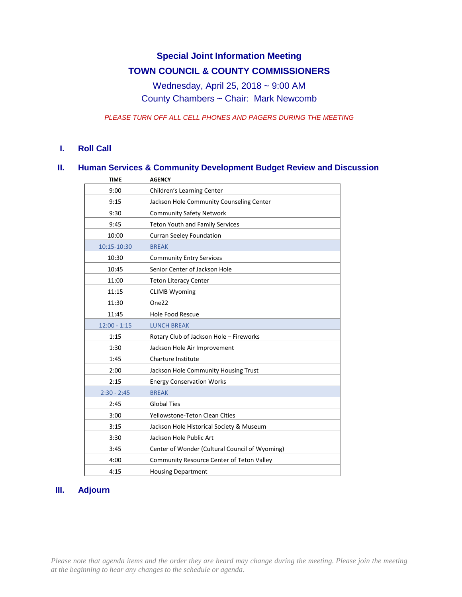# **Special Joint Information Meeting TOWN COUNCIL & COUNTY COMMISSIONERS**

Wednesday, April 25, 2018 ~ 9:00 AM County Chambers ~ Chair: Mark Newcomb

*PLEASE TURN OFF ALL CELL PHONES AND PAGERS DURING THE MEETING*

#### **I. Roll Call**

## **II. Human Services & Community Development Budget Review and Discussion**

| <b>TIME</b>    | <b>AGENCY</b>                                  |
|----------------|------------------------------------------------|
| 9:00           | Children's Learning Center                     |
| 9:15           | Jackson Hole Community Counseling Center       |
| 9:30           | <b>Community Safety Network</b>                |
| 9:45           | <b>Teton Youth and Family Services</b>         |
| 10:00          | <b>Curran Seeley Foundation</b>                |
| 10:15-10:30    | <b>BREAK</b>                                   |
| 10:30          | <b>Community Entry Services</b>                |
| 10:45          | Senior Center of Jackson Hole                  |
| 11:00          | <b>Teton Literacy Center</b>                   |
| 11:15          | <b>CLIMB Wyoming</b>                           |
| 11:30          | One <sub>22</sub>                              |
| 11:45          | <b>Hole Food Rescue</b>                        |
| $12:00 - 1:15$ | <b>LUNCH BREAK</b>                             |
| 1:15           | Rotary Club of Jackson Hole - Fireworks        |
| 1:30           | Jackson Hole Air Improvement                   |
| 1:45           | <b>Charture Institute</b>                      |
| 2:00           | Jackson Hole Community Housing Trust           |
| 2:15           | <b>Energy Conservation Works</b>               |
| $2:30 - 2:45$  | <b>BREAK</b>                                   |
| 2:45           | <b>Global Ties</b>                             |
| 3:00           | Yellowstone-Teton Clean Cities                 |
| 3:15           | Jackson Hole Historical Society & Museum       |
| 3:30           | Jackson Hole Public Art                        |
| 3:45           | Center of Wonder (Cultural Council of Wyoming) |
| 4:00           | Community Resource Center of Teton Valley      |
| 4:15           | <b>Housing Department</b>                      |

## **III. Adjourn**